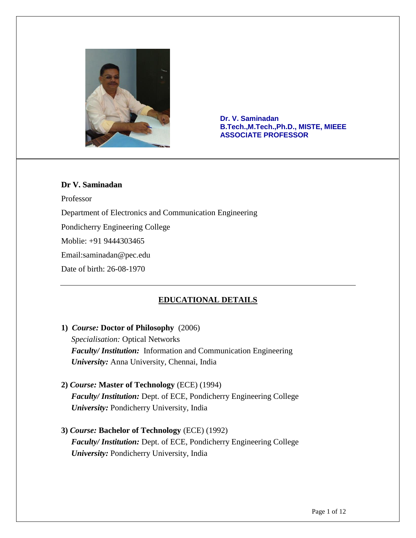

**Dr. V. Saminadan B.Tech.,M.Tech.,Ph.D., MISTE, MIEEE ASSOCIATE PROFESSOR**

### **Dr V. Saminadan**

Professor

Department of Electronics and Communication Engineering

Pondicherry Engineering College

Moblie: +91 9444303465

Email:saminadan@pec.edu

Date of birth: 26-08-1970

# **EDUCATIONAL DETAILS**

- **1)** *Course:* **Doctor of Philosophy** (2006) *Specialisation:* Optical Networks *Faculty/ Institution:* Information and Communication Engineering *University:* Anna University, Chennai, India
- **2)** *Course:* **Master of Technology** (ECE) (1994)  *Faculty/ Institution:* Dept. of ECE, Pondicherry Engineering College *University:* Pondicherry University, India
- **3)** *Course:* **Bachelor of Technology** (ECE) (1992) *Faculty/ Institution:* Dept. of ECE, Pondicherry Engineering College *University:* Pondicherry University, India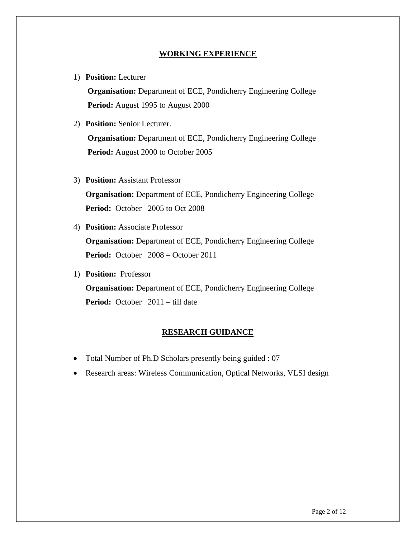#### **WORKING EXPERIENCE**

1) **Position:** Lecturer

**Organisation:** Department of ECE, Pondicherry Engineering College **Period:** August 1995 to August 2000

- 2) **Position:** Senior Lecturer. **Organisation:** Department of ECE, Pondicherry Engineering College **Period:** August 2000 to October 2005
- 3) **Position:** Assistant Professor

**Organisation:** Department of ECE, Pondicherry Engineering College **Period:** October 2005 to Oct 2008

4) **Position:** Associate Professor

**Organisation:** Department of ECE, Pondicherry Engineering College **Period:** October 2008 – October 2011

1) **Position:** Professor

**Organisation:** Department of ECE, Pondicherry Engineering College **Period:** October 2011 – till date

#### **RESEARCH GUIDANCE**

- Total Number of Ph.D Scholars presently being guided : 07
- Research areas: Wireless Communication, Optical Networks, VLSI design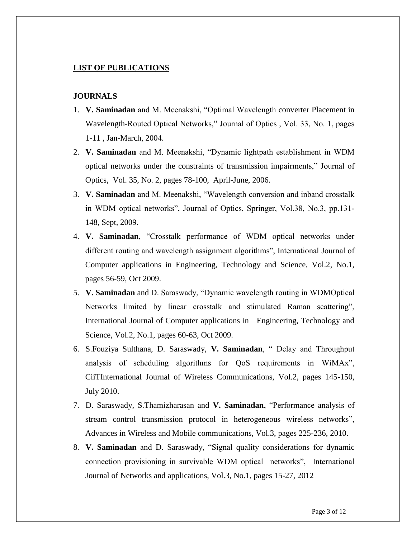#### **LIST OF PUBLICATIONS**

#### **JOURNALS**

- 1. **V. Saminadan** and M. Meenakshi, "Optimal Wavelength converter Placement in Wavelength-Routed Optical Networks," Journal of Optics , Vol. 33, No. 1, pages 1-11 , Jan-March, 2004.
- 2. **V. Saminadan** and M. Meenakshi, "Dynamic lightpath establishment in WDM optical networks under the constraints of transmission impairments," Journal of Optics, Vol. 35, No. 2, pages 78-100, April-June, 2006.
- 3. **V. Saminadan** and M. Meenakshi, "Wavelength conversion and inband crosstalk in WDM optical networks", Journal of Optics, Springer, Vol.38, No.3, pp.131- 148, Sept, 2009.
- 4. **V. Saminadan**, "Crosstalk performance of WDM optical networks under different routing and wavelength assignment algorithms", International Journal of Computer applications in Engineering, Technology and Science, Vol.2, No.1, pages 56-59, Oct 2009.
- 5. **V. Saminadan** and D. Saraswady, "Dynamic wavelength routing in WDMOptical Networks limited by linear crosstalk and stimulated Raman scattering", International Journal of Computer applications in Engineering, Technology and Science, Vol.2, No.1, pages 60-63, Oct 2009.
- 6. S.Fouziya Sulthana, D. Saraswady, **V. Saminadan**, " Delay and Throughput analysis of scheduling algorithms for QoS requirements in WiMAx", CiiTInternational Journal of Wireless Communications, Vol.2, pages 145-150, July 2010.
- 7. D. Saraswady, S.Thamizharasan and **V. Saminadan**, "Performance analysis of stream control transmission protocol in heterogeneous wireless networks", Advances in Wireless and Mobile communications, Vol.3, pages 225-236, 2010.
- 8. **V. Saminadan** and D. Saraswady, "Signal quality considerations for dynamic connection provisioning in survivable WDM optical networks", International Journal of Networks and applications, Vol.3, No.1, pages 15-27, 2012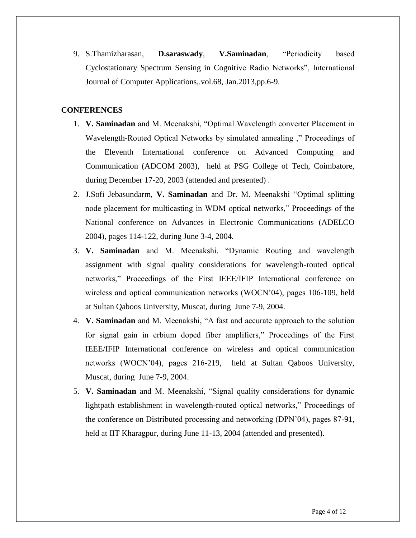9. S.Thamizharasan, **D.saraswady**, **V.Saminadan**, "Periodicity based Cyclostationary Spectrum Sensing in Cognitive Radio Networks", International Journal of Computer Applications,.vol.68, Jan.2013,pp.6-9.

### **CONFERENCES**

- 1. **V. Saminadan** and M. Meenakshi, "Optimal Wavelength converter Placement in Wavelength-Routed Optical Networks by simulated annealing ," Proceedings of the Eleventh International conference on Advanced Computing and Communication (ADCOM 2003), held at PSG College of Tech, Coimbatore, during December 17-20, 2003 (attended and presented) .
- 2. J.Sofi Jebasundarm, **V. Saminadan** and Dr. M. Meenakshi "Optimal splitting node placement for multicasting in WDM optical networks," Proceedings of the National conference on Advances in Electronic Communications (ADELCO 2004), pages 114-122, during June 3-4, 2004.
- 3. **V. Saminadan** and M. Meenakshi, "Dynamic Routing and wavelength assignment with signal quality considerations for wavelength-routed optical networks," Proceedings of the First IEEE/IFIP International conference on wireless and optical communication networks (WOCN'04), pages 106-109, held at Sultan Qaboos University, Muscat, during June 7-9, 2004.
- 4. **V. Saminadan** and M. Meenakshi, "A fast and accurate approach to the solution for signal gain in erbium doped fiber amplifiers," Proceedings of the First IEEE/IFIP International conference on wireless and optical communication networks (WOCN'04), pages 216-219, held at Sultan Qaboos University, Muscat, during June 7-9, 2004.
- 5. **V. Saminadan** and M. Meenakshi, "Signal quality considerations for dynamic lightpath establishment in wavelength-routed optical networks," Proceedings of the conference on Distributed processing and networking (DPN'04), pages 87-91, held at IIT Kharagpur, during June 11-13, 2004 (attended and presented).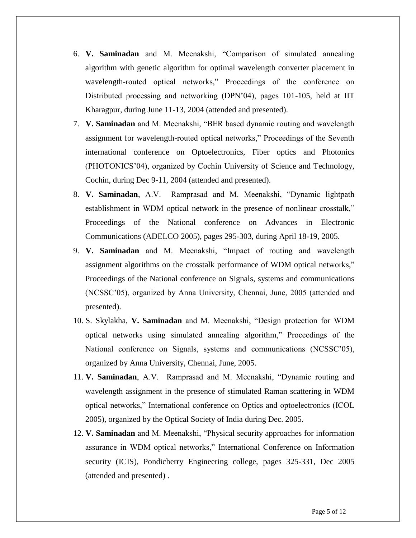- 6. **V. Saminadan** and M. Meenakshi, "Comparison of simulated annealing algorithm with genetic algorithm for optimal wavelength converter placement in wavelength-routed optical networks," Proceedings of the conference on Distributed processing and networking (DPN'04), pages 101-105, held at IIT Kharagpur, during June 11-13, 2004 (attended and presented).
- 7. **V. Saminadan** and M. Meenakshi, "BER based dynamic routing and wavelength assignment for wavelength-routed optical networks," Proceedings of the Seventh international conference on Optoelectronics, Fiber optics and Photonics (PHOTONICS'04), organized by Cochin University of Science and Technology, Cochin, during Dec 9-11, 2004 (attended and presented).
- 8. **V. Saminadan**, A.V. Ramprasad and M. Meenakshi, "Dynamic lightpath establishment in WDM optical network in the presence of nonlinear crosstalk," Proceedings of the National conference on Advances in Electronic Communications (ADELCO 2005), pages 295-303, during April 18-19, 2005.
- 9. **V. Saminadan** and M. Meenakshi, "Impact of routing and wavelength assignment algorithms on the crosstalk performance of WDM optical networks," Proceedings of the National conference on Signals, systems and communications (NCSSC'05), organized by Anna University, Chennai, June, 2005 (attended and presented).
- 10. S. Skylakha, **V. Saminadan** and M. Meenakshi, "Design protection for WDM optical networks using simulated annealing algorithm," Proceedings of the National conference on Signals, systems and communications (NCSSC'05), organized by Anna University, Chennai, June, 2005.
- 11. **V. Saminadan**, A.V. Ramprasad and M. Meenakshi, "Dynamic routing and wavelength assignment in the presence of stimulated Raman scattering in WDM optical networks," International conference on Optics and optoelectronics (ICOL 2005), organized by the Optical Society of India during Dec. 2005.
- 12. **V. Saminadan** and M. Meenakshi, "Physical security approaches for information assurance in WDM optical networks," International Conference on Information security (ICIS), Pondicherry Engineering college, pages 325-331, Dec 2005 (attended and presented) .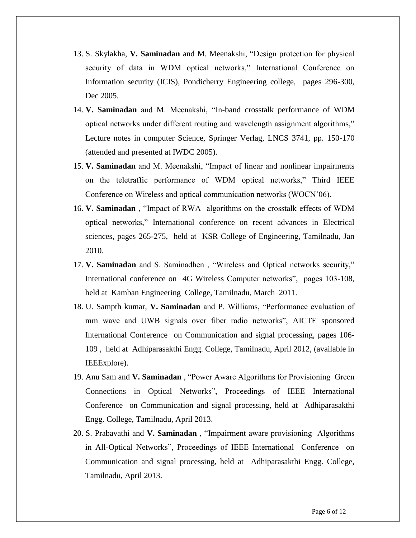- 13. S. Skylakha, **V. Saminadan** and M. Meenakshi, "Design protection for physical security of data in WDM optical networks," International Conference on Information security (ICIS), Pondicherry Engineering college, pages 296-300, Dec 2005.
- 14. **V. Saminadan** and M. Meenakshi, "In-band crosstalk performance of WDM optical networks under different routing and wavelength assignment algorithms," Lecture notes in computer Science, Springer Verlag, LNCS 3741, pp. 150-170 (attended and presented at IWDC 2005).
- 15. **V. Saminadan** and M. Meenakshi, "Impact of linear and nonlinear impairments on the teletraffic performance of WDM optical networks," Third IEEE Conference on Wireless and optical communication networks (WOCN'06).
- 16. **V. Saminadan** , "Impact of RWA algorithms on the crosstalk effects of WDM optical networks," International conference on recent advances in Electrical sciences, pages 265-275, held at KSR College of Engineering, Tamilnadu, Jan 2010.
- 17. **V. Saminadan** and S. Saminadhen , "Wireless and Optical networks security," International conference on 4G Wireless Computer networks", pages 103-108, held at Kamban Engineering College, Tamilnadu, March 2011.
- 18. U. Sampth kumar, **V. Saminadan** and P. Williams, "Performance evaluation of mm wave and UWB signals over fiber radio networks", AICTE sponsored International Conference on Communication and signal processing, pages 106- 109 , held at Adhiparasakthi Engg. College, Tamilnadu, April 2012, (available in IEEExplore).
- 19. Anu Sam and **V. Saminadan** , "Power Aware Algorithms for Provisioning Green Connections in Optical Networks", Proceedings of IEEE International Conference on Communication and signal processing, held at Adhiparasakthi Engg. College, Tamilnadu, April 2013.
- 20. S. Prabavathi and **V. Saminadan** , "Impairment aware provisioning Algorithms in All-Optical Networks", Proceedings of IEEE International Conference on Communication and signal processing, held at Adhiparasakthi Engg. College, Tamilnadu, April 2013.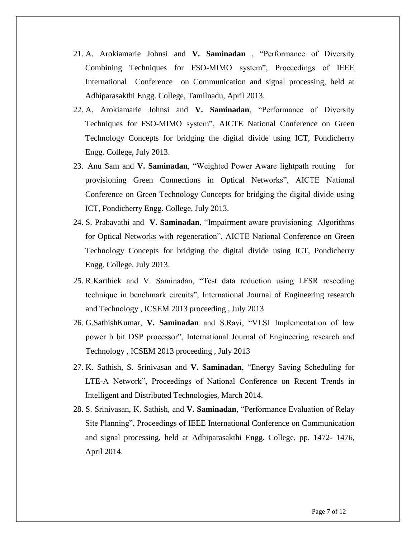- 21. A. Arokiamarie Johnsi and **V. Saminadan** , "Performance of Diversity Combining Techniques for FSO-MIMO system", Proceedings of IEEE International Conference on Communication and signal processing, held at Adhiparasakthi Engg. College, Tamilnadu, April 2013.
- 22. A. Arokiamarie Johnsi and **V. Saminadan**, "Performance of Diversity Techniques for FSO-MIMO system", AICTE National Conference on Green Technology Concepts for bridging the digital divide using ICT, Pondicherry Engg. College, July 2013.
- 23. Anu Sam and **V. Saminadan**, "Weighted Power Aware lightpath routing for provisioning Green Connections in Optical Networks", AICTE National Conference on Green Technology Concepts for bridging the digital divide using ICT, Pondicherry Engg. College, July 2013.
- 24. S. Prabavathi and **V. Saminadan**, "Impairment aware provisioning Algorithms for Optical Networks with regeneration", AICTE National Conference on Green Technology Concepts for bridging the digital divide using ICT, Pondicherry Engg. College, July 2013.
- 25. R.Karthick and V. Saminadan, "Test data reduction using LFSR reseeding technique in benchmark circuits", International Journal of Engineering research and Technology , ICSEM 2013 proceeding , July 2013
- 26. G.SathishKumar, **V. Saminadan** and S.Ravi, "VLSI Implementation of low power b bit DSP processor", International Journal of Engineering research and Technology , ICSEM 2013 proceeding , July 2013
- 27. K. Sathish, S. Srinivasan and **V. Saminadan**, "Energy Saving Scheduling for LTE-A Network", Proceedings of National Conference on Recent Trends in Intelligent and Distributed Technologies, March 2014.
- 28. S. Srinivasan, K. Sathish, and **V. Saminadan**, "Performance Evaluation of Relay Site Planning", Proceedings of IEEE International Conference on Communication and signal processing, held at Adhiparasakthi Engg. College, pp. 1472- 1476, April 2014.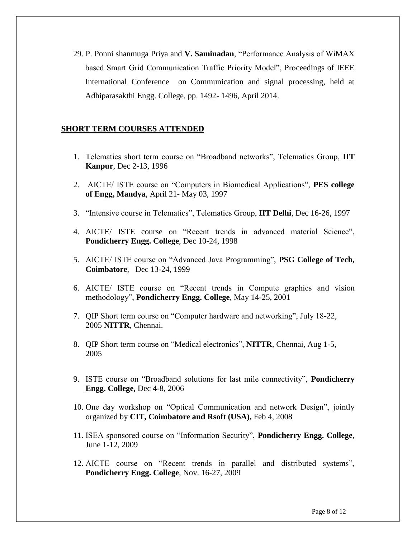29. P. Ponni shanmuga Priya and **V. Saminadan**, "Performance Analysis of WiMAX based Smart Grid Communication Traffic Priority Model", Proceedings of IEEE International Conference on Communication and signal processing, held at Adhiparasakthi Engg. College, pp. 1492- 1496, April 2014.

#### **SHORT TERM COURSES ATTENDED**

- 1. Telematics short term course on "Broadband networks", Telematics Group, **IIT Kanpur**, Dec 2-13, 1996
- 2. AICTE/ ISTE course on "Computers in Biomedical Applications", **PES college of Engg, Mandya**, April 21- May 03, 1997
- 3. "Intensive course in Telematics", Telematics Group, **IIT Delhi**, Dec 16-26, 1997
- 4. AICTE/ ISTE course on "Recent trends in advanced material Science", **Pondicherry Engg. College**, Dec 10-24, 1998
- 5. AICTE/ ISTE course on "Advanced Java Programming", **PSG College of Tech, Coimbatore**, Dec 13-24, 1999
- 6. AICTE/ ISTE course on "Recent trends in Compute graphics and vision methodology", **Pondicherry Engg. College**, May 14-25, 2001
- 7. QIP Short term course on "Computer hardware and networking", July 18-22, 2005 **NITTR**, Chennai.
- 8. QIP Short term course on "Medical electronics", **NITTR**, Chennai, Aug 1-5, 2005
- 9. ISTE course on "Broadband solutions for last mile connectivity", **Pondicherry Engg. College,** Dec 4-8, 2006
- 10. One day workshop on "Optical Communication and network Design", jointly organized by **CIT, Coimbatore and Rsoft (USA),** Feb 4, 2008
- 11. ISEA sponsored course on "Information Security", **Pondicherry Engg. College**, June 1-12, 2009
- 12. AICTE course on "Recent trends in parallel and distributed systems", **Pondicherry Engg. College**, Nov. 16-27, 2009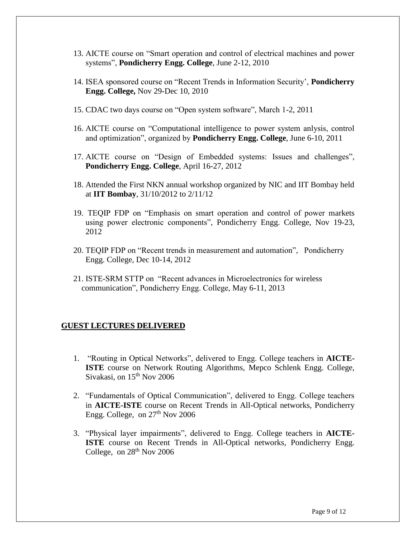- 13. AICTE course on "Smart operation and control of electrical machines and power systems", **Pondicherry Engg. College**, June 2-12, 2010
- 14. ISEA sponsored course on "Recent Trends in Information Security', **Pondicherry Engg. College,** Nov 29-Dec 10, 2010
- 15. CDAC two days course on "Open system software", March 1-2, 2011
- 16. AICTE course on "Computational intelligence to power system anlysis, control and optimization", organized by **Pondicherry Engg. College**, June 6-10, 2011
- 17. AICTE course on "Design of Embedded systems: Issues and challenges", **Pondicherry Engg. College**, April 16-27, 2012
- 18. Attended the First NKN annual workshop organized by NIC and IIT Bombay held at **IIT Bombay**, 31/10/2012 to 2/11/12
- 19. TEQIP FDP on "Emphasis on smart operation and control of power markets using power electronic components", Pondicherry Engg. College, Nov 19-23, 2012
- 20. TEQIP FDP on "Recent trends in measurement and automation", Pondicherry Engg. College, Dec 10-14, 2012
- 21. ISTE-SRM STTP on "Recent advances in Microelectronics for wireless communication", Pondicherry Engg. College, May 6-11, 2013

#### **GUEST LECTURES DELIVERED**

- 1. "Routing in Optical Networks", delivered to Engg. College teachers in **AICTE-ISTE** course on Network Routing Algorithms, Mepco Schlenk Engg. College, Sivakasi, on  $15<sup>th</sup>$  Nov 2006
- 2. "Fundamentals of Optical Communication", delivered to Engg. College teachers in **AICTE-ISTE** course on Recent Trends in All-Optical networks, Pondicherry Engg. College, on  $27<sup>th</sup>$  Nov 2006
- 3. "Physical layer impairments", delivered to Engg. College teachers in **AICTE-ISTE** course on Recent Trends in All-Optical networks, Pondicherry Engg. College, on  $28<sup>th</sup>$  Nov 2006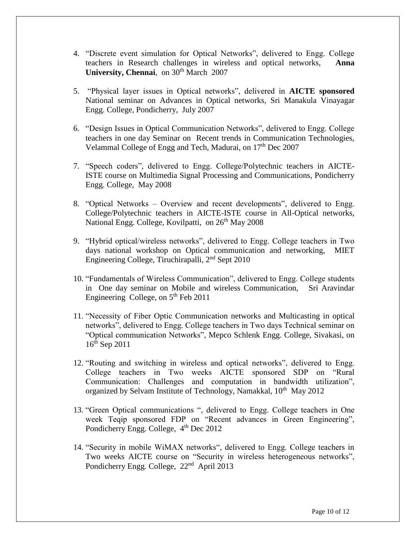- 4. "Discrete event simulation for Optical Networks", delivered to Engg. College teachers in Research challenges in wireless and optical networks, **Anna University, Chennai**, on 30<sup>th</sup> March 2007
- 5. "Physical layer issues in Optical networks", delivered in **AICTE sponsored** National seminar on Advances in Optical networks, Sri Manakula Vinayagar Engg. College, Pondicherry, July 2007
- 6. "Design Issues in Optical Communication Networks", delivered to Engg. College teachers in one day Seminar on Recent trends in Communication Technologies, Velammal College of Engg and Tech, Madurai, on  $17<sup>th</sup>$  Dec 2007
- 7. "Speech coders", delivered to Engg. College/Polytechnic teachers in AICTE-ISTE course on Multimedia Signal Processing and Communications, Pondicherry Engg. College, May 2008
- 8. "Optical Networks Overview and recent developments", delivered to Engg. College/Polytechnic teachers in AICTE-ISTE course in All-Optical networks, National Engg. College, Kovilpatti, on  $26<sup>th</sup>$  May 2008
- 9. "Hybrid optical/wireless networks", delivered to Engg. College teachers in Two days national workshop on Optical communication and networking, MIET Engineering College, Tiruchirapalli,  $2<sup>nd</sup>$  Sept 2010
- 10. "Fundamentals of Wireless Communication", delivered to Engg. College students in One day seminar on Mobile and wireless Communication, Sri Aravindar Engineering College, on  $5<sup>th</sup>$  Feb 2011
- 11. "Necessity of Fiber Optic Communication networks and Multicasting in optical networks", delivered to Engg. College teachers in Two days Technical seminar on "Optical communication Networks", Mepco Schlenk Engg. College, Sivakasi, on 16th Sep 2011
- 12. "Routing and switching in wireless and optical networks", delivered to Engg. College teachers in Two weeks AICTE sponsored SDP on "Rural Communication: Challenges and computation in bandwidth utilization", organized by Selvam Institute of Technology, Namakkal, 10<sup>th</sup> May 2012
- 13. "Green Optical communications ", delivered to Engg. College teachers in One week Teqip sponsored FDP on "Recent advances in Green Engineering", Pondicherry Engg. College,  $4<sup>th</sup>$  Dec 2012
- 14. "Security in mobile WiMAX networks", delivered to Engg. College teachers in Two weeks AICTE course on "Security in wireless heterogeneous networks", Pondicherry Engg. College, 22<sup>nd</sup> April 2013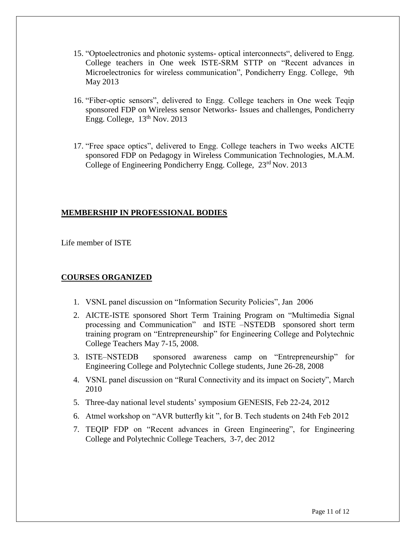- 15. "Optoelectronics and photonic systems- optical interconnects", delivered to Engg. College teachers in One week ISTE-SRM STTP on "Recent advances in Microelectronics for wireless communication", Pondicherry Engg. College, 9th May 2013
- 16. "Fiber-optic sensors", delivered to Engg. College teachers in One week Teqip sponsored FDP on Wireless sensor Networks- Issues and challenges, Pondicherry Engg. College,  $13<sup>th</sup>$  Nov. 2013
- 17. "Free space optics", delivered to Engg. College teachers in Two weeks AICTE sponsored FDP on Pedagogy in Wireless Communication Technologies, M.A.M. College of Engineering Pondicherry Engg. College, 23<sup>rd</sup> Nov. 2013

#### **MEMBERSHIP IN PROFESSIONAL BODIES**

Life member of ISTE

# **COURSES ORGANIZED**

- 1. VSNL panel discussion on "Information Security Policies", Jan 2006
- 2. AICTE-ISTE sponsored Short Term Training Program on "Multimedia Signal processing and Communication" and ISTE –NSTEDB sponsored short term training program on "Entrepreneurship" for Engineering College and Polytechnic College Teachers May 7-15, 2008.
- 3. ISTE–NSTEDB sponsored awareness camp on "Entrepreneurship" for Engineering College and Polytechnic College students, June 26-28, 2008
- 4. VSNL panel discussion on "Rural Connectivity and its impact on Society", March 2010
- 5. Three-day national level students' symposium GENESIS, Feb 22-24, 2012
- 6. Atmel workshop on "AVR butterfly kit ", for B. Tech students on 24th Feb 2012
- 7. TEQIP FDP on "Recent advances in Green Engineering", for Engineering College and Polytechnic College Teachers, 3-7, dec 2012